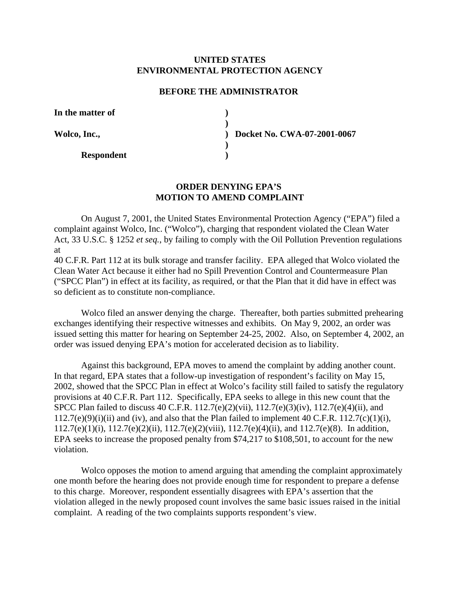## **UNITED STATES ENVIRONMENTAL PROTECTION AGENCY**

## **BEFORE THE ADMINISTRATOR**

**)** 

**)** 

In the matter of  $\qquad \qquad$  **)** 

**Respondent )** 

**Wolco, Inc., ) Docket No. CWA-07-2001-0067** 

## **ORDER DENYING EPA'S MOTION TO AMEND COMPLAINT**

On August 7, 2001, the United States Environmental Protection Agency ("EPA") filed a complaint against Wolco, Inc. ("Wolco"), charging that respondent violated the Clean Water Act, 33 U.S.C. § 1252 *et seq.*, by failing to comply with the Oil Pollution Prevention regulations at

40 C.F.R. Part 112 at its bulk storage and transfer facility. EPA alleged that Wolco violated the Clean Water Act because it either had no Spill Prevention Control and Countermeasure Plan ("SPCC Plan") in effect at its facility, as required, or that the Plan that it did have in effect was so deficient as to constitute non-compliance.

Wolco filed an answer denying the charge. Thereafter, both parties submitted prehearing exchanges identifying their respective witnesses and exhibits. On May 9, 2002, an order was issued setting this matter for hearing on September 24-25, 2002. Also, on September 4, 2002, an order was issued denying EPA's motion for accelerated decision as to liability.

Against this background, EPA moves to amend the complaint by adding another count. In that regard, EPA states that a follow-up investigation of respondent's facility on May 15, 2002, showed that the SPCC Plan in effect at Wolco's facility still failed to satisfy the regulatory provisions at 40 C.F.R. Part 112. Specifically, EPA seeks to allege in this new count that the SPCC Plan failed to discuss 40 C.F.R. 112.7(e)(2)(vii), 112.7(e)(3)(iv), 112.7(e)(4)(ii), and  $112.7(e)(9)(i)(ii)$  and (iv), and also that the Plan failed to implement 40 C.F.R.  $112.7(c)(1)(i)$ , 112.7(e)(1)(i), 112.7(e)(2)(ii), 112.7(e)(2)(viii), 112.7(e)(4)(ii), and 112.7(e)(8). In addition, EPA seeks to increase the proposed penalty from \$74,217 to \$108,501, to account for the new violation.

Wolco opposes the motion to amend arguing that amending the complaint approximately one month before the hearing does not provide enough time for respondent to prepare a defense to this charge. Moreover, respondent essentially disagrees with EPA's assertion that the violation alleged in the newly proposed count involves the same basic issues raised in the initial complaint. A reading of the two complaints supports respondent's view.